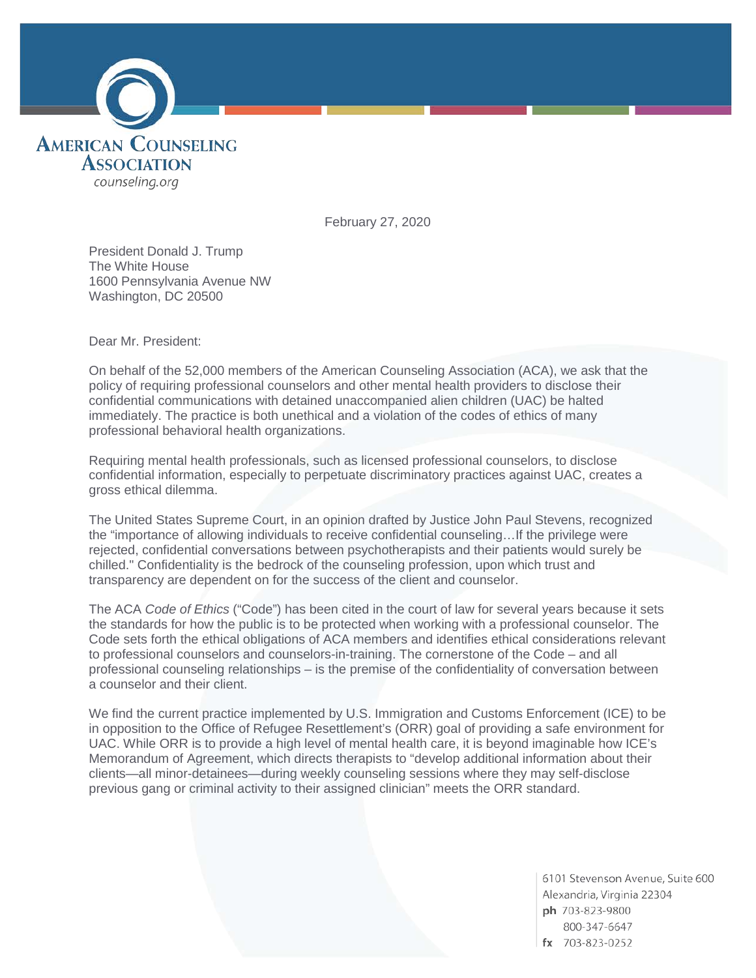

February 27, 2020

President Donald J. Trump The White House 1600 Pennsylvania Avenue NW Washington, DC 20500

Dear Mr. President:

On behalf of the 52,000 members of the American Counseling Association (ACA), we ask that the policy of requiring professional counselors and other mental health providers to disclose their confidential communications with detained unaccompanied alien children (UAC) be halted immediately. The practice is both unethical and a violation of the codes of ethics of many professional behavioral health organizations.

Requiring mental health professionals, such as licensed professional counselors, to disclose confidential information, especially to perpetuate discriminatory practices against UAC, creates a gross ethical dilemma.

The United States Supreme Court, in an opinion drafted by Justice John Paul Stevens, recognized the "importance of allowing individuals to receive confidential counseling…If the privilege were rejected, confidential conversations between psychotherapists and their patients would surely be chilled." Confidentiality is the bedrock of the counseling profession, upon which trust and transparency are dependent on for the success of the client and counselor.

The ACA *Code of Ethics* ("Code") has been cited in the court of law for several years because it sets the standards for how the public is to be protected when working with a professional counselor. The Code sets forth the ethical obligations of ACA members and identifies ethical considerations relevant to professional counselors and counselors-in-training. The cornerstone of the Code – and all professional counseling relationships – is the premise of the confidentiality of conversation between a counselor and their client.

We find the current practice implemented by U.S. Immigration and Customs Enforcement (ICE) to be in opposition to the Office of Refugee Resettlement's (ORR) goal of providing a safe environment for UAC. While ORR is to provide a high level of mental health care, it is beyond imaginable how ICE's Memorandum of Agreement, which directs therapists to "develop additional information about their clients—all minor-detainees—during weekly counseling sessions where they may self-disclose previous gang or criminal activity to their assigned clinician" meets the ORR standard.

> 6101 Stevenson Avenue, Suite 600 Alexandria, Virginia 22304 ph 703-823-9800 800-347-6647  $fx$  703-823-0252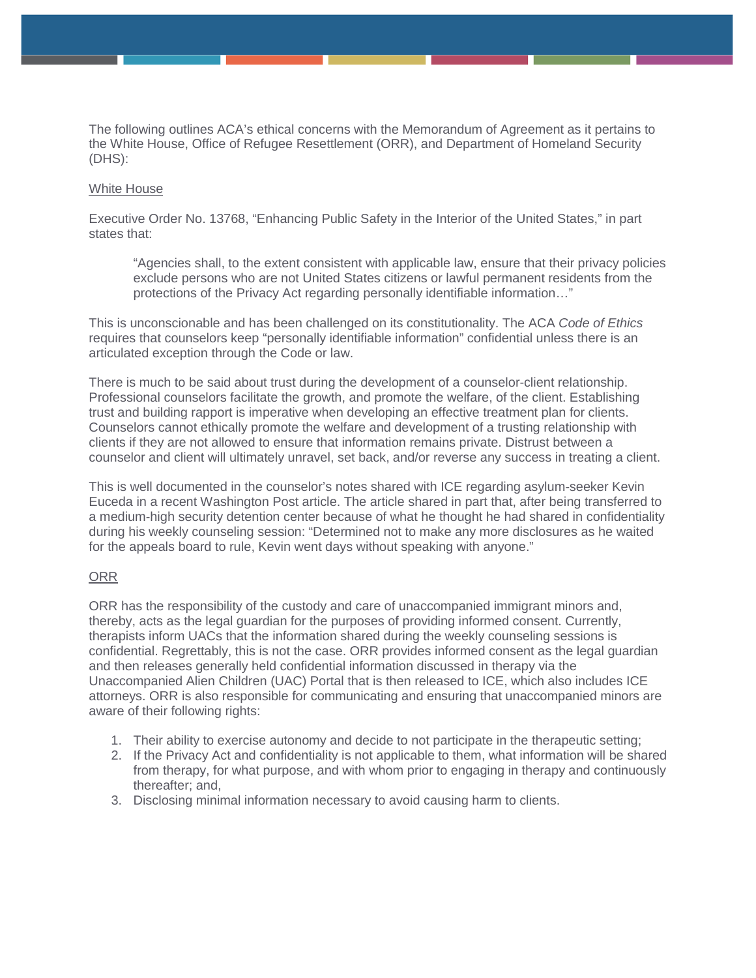The following outlines ACA's ethical concerns with the Memorandum of Agreement as it pertains to the White House, Office of Refugee Resettlement (ORR), and Department of Homeland Security (DHS):

## White House

Executive Order No. 13768, "Enhancing Public Safety in the Interior of the United States," in part states that:

"Agencies shall, to the extent consistent with applicable law, ensure that their privacy policies exclude persons who are not United States citizens or lawful permanent residents from the protections of the Privacy Act regarding personally identifiable information…"

This is unconscionable and has been challenged on its constitutionality. The ACA *Code of Ethics* requires that counselors keep "personally identifiable information" confidential unless there is an articulated exception through the Code or law.

There is much to be said about trust during the development of a counselor-client relationship. Professional counselors facilitate the growth, and promote the welfare, of the client. Establishing trust and building rapport is imperative when developing an effective treatment plan for clients. Counselors cannot ethically promote the welfare and development of a trusting relationship with clients if they are not allowed to ensure that information remains private. Distrust between a counselor and client will ultimately unravel, set back, and/or reverse any success in treating a client.

This is well documented in the counselor's notes shared with ICE regarding asylum-seeker Kevin Euceda in a recent Washington Post article. The article shared in part that, after being transferred to a medium-high security detention center because of what he thought he had shared in confidentiality during his weekly counseling session: "Determined not to make any more disclosures as he waited for the appeals board to rule, Kevin went days without speaking with anyone."

## ORR

ORR has the responsibility of the custody and care of unaccompanied immigrant minors and, thereby, acts as the legal guardian for the purposes of providing informed consent. Currently, therapists inform UACs that the information shared during the weekly counseling sessions is confidential. Regrettably, this is not the case. ORR provides informed consent as the legal guardian and then releases generally held confidential information discussed in therapy via the Unaccompanied Alien Children (UAC) Portal that is then released to ICE, which also includes ICE attorneys. ORR is also responsible for communicating and ensuring that unaccompanied minors are aware of their following rights:

- 1. Their ability to exercise autonomy and decide to not participate in the therapeutic setting;
- 2. If the Privacy Act and confidentiality is not applicable to them, what information will be shared from therapy, for what purpose, and with whom prior to engaging in therapy and continuously thereafter; and,
- 3. Disclosing minimal information necessary to avoid causing harm to clients.